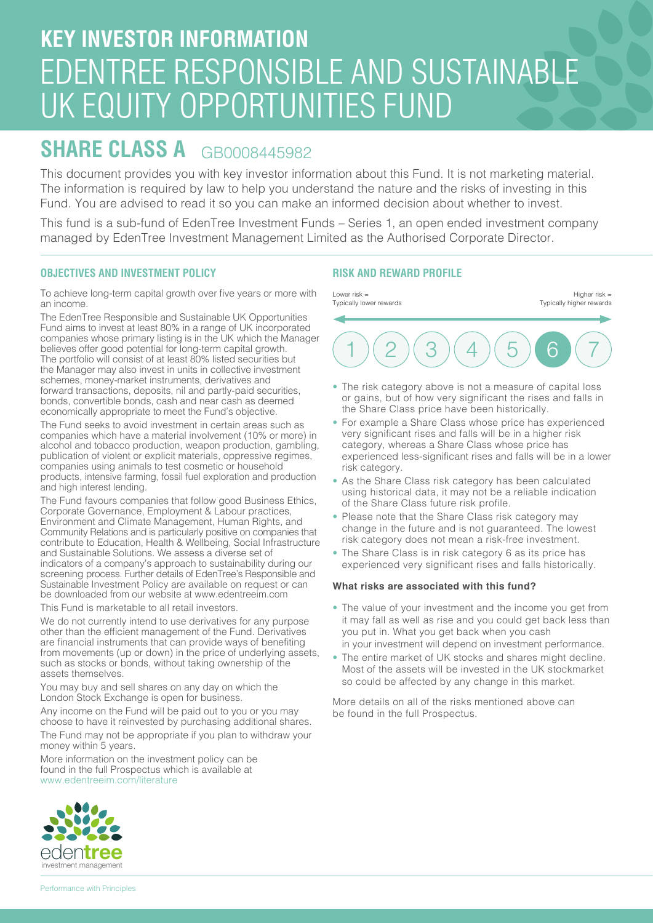## **KEY INVESTOR INFORMATION** EDENTREE RESPONSIBLE AND SUSTAINABLE UK EQUITY OPPORTUNITIES FUND

### **SHARE CLASS A** GB0008445982

This document provides you with key investor information about this Fund. It is not marketing material. The information is required by law to help you understand the nature and the risks of investing in this Fund. You are advised to read it so you can make an informed decision about whether to invest.

This fund is a sub-fund of EdenTree Investment Funds – Series 1, an open ended investment company managed by EdenTree Investment Management Limited as the Authorised Corporate Director.

#### **OBJECTIVES AND INVESTMENT POLICY**

To achieve long-term capital growth over five years or more with an income.

The EdenTree Responsible and Sustainable UK Opportunities Fund aims to invest at least 80% in a range of UK incorporated companies whose primary listing is in the UK which the Manager believes offer good potential for long-term capital growth. The portfolio will consist of at least 80% listed securities but the Manager may also invest in units in collective investment schemes, money-market instruments, derivatives and forward transactions, deposits, nil and partly-paid securities, bonds, convertible bonds, cash and near cash as deemed economically appropriate to meet the Fund's objective.

The Fund seeks to avoid investment in certain areas such as companies which have a material involvement (10% or more) in alcohol and tobacco production, weapon production, gambling, publication of violent or explicit materials, oppressive regimes, companies using animals to test cosmetic or household products, intensive farming, fossil fuel exploration and production and high interest lending.

The Fund favours companies that follow good Business Ethics, Corporate Governance, Employment & Labour practices, Environment and Climate Management, Human Rights, and Community Relations and is particularly positive on companies that contribute to Education, Health & Wellbeing, Social Infrastructure and Sustainable Solutions. We assess a diverse set of indicators of a company's approach to sustainability during our screening process. Further details of EdenTree's Responsible and Sustainable Investment Policy are available on request or can be downloaded from our website at www.edentreeim.com

This Fund is marketable to all retail investors.

We do not currently intend to use derivatives for any purpose other than the efficient management of the Fund. Derivatives are financial instruments that can provide ways of benefiting from movements (up or down) in the price of underlying assets, such as stocks or bonds, without taking ownership of the assets themselves.

You may buy and sell shares on any day on which the London Stock Exchange is open for business.

Any income on the Fund will be paid out to you or you may choose to have it reinvested by purchasing additional shares.

The Fund may not be appropriate if you plan to withdraw your money within 5 years.

More information on the investment policy can be found in the full Prospectus which is available at www.edentreeim.com/literature

# eden**tree** investment management

#### **RISK AND REWARD PROFILE**



- The risk category above is not a measure of capital loss or gains, but of how very significant the rises and falls in the Share Class price have been historically.
- For example a Share Class whose price has experienced very significant rises and falls will be in a higher risk category, whereas a Share Class whose price has experienced less-significant rises and falls will be in a lower risk category.
- As the Share Class risk category has been calculated using historical data, it may not be a reliable indication of the Share Class future risk profile.
- Please note that the Share Class risk category may change in the future and is not guaranteed. The lowest risk category does not mean a risk-free investment.
- The Share Class is in risk category 6 as its price has experienced very significant rises and falls historically.

#### **What risks are associated with this fund?**

- The value of your investment and the income you get from it may fall as well as rise and you could get back less than you put in. What you get back when you cash in your investment will depend on investment performance.
- The entire market of UK stocks and shares might decline. Most of the assets will be invested in the UK stockmarket so could be affected by any change in this market.

More details on all of the risks mentioned above can be found in the full Prospectus.